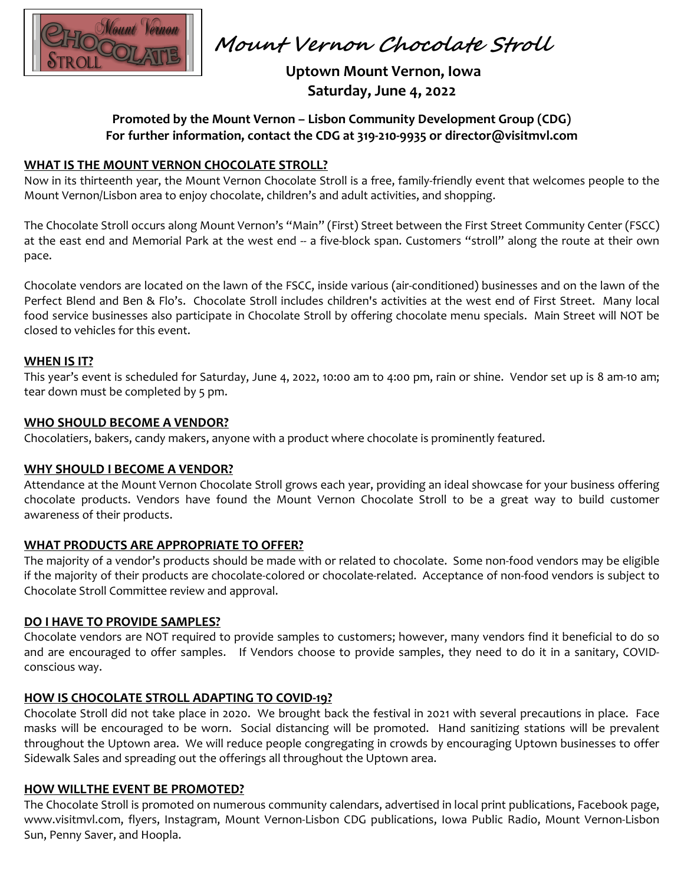

 **Mount Vernon Chocolate Stroll** 

 **Uptown Mount Vernon, Iowa Saturday, June 4, 2022** 

# **Promoted by the Mount Vernon – Lisbon Community Development Group (CDG) For further information, contact the CDG at 319-210-9935 or director@visitmvl.com**

# **WHAT IS THE MOUNT VERNON CHOCOLATE STROLL?**

Now in its thirteenth year, the Mount Vernon Chocolate Stroll is a free, family-friendly event that welcomes people to the Mount Vernon/Lisbon area to enjoy chocolate, children's and adult activities, and shopping.

The Chocolate Stroll occurs along Mount Vernon's "Main" (First) Street between the First Street Community Center (FSCC) at the east end and Memorial Park at the west end -- a five-block span. Customers "stroll" along the route at their own pace.

Chocolate vendors are located on the lawn of the FSCC, inside various (air-conditioned) businesses and on the lawn of the Perfect Blend and Ben & Flo's. Chocolate Stroll includes children's activities at the west end of First Street. Many local food service businesses also participate in Chocolate Stroll by offering chocolate menu specials. Main Street will NOT be closed to vehicles for this event.

#### **WHEN IS IT?**

This year's event is scheduled for Saturday, June 4, 2022, 10:00 am to 4:00 pm, rain or shine. Vendor set up is 8 am-10 am; tear down must be completed by 5 pm.

#### **WHO SHOULD BECOME A VENDOR?**

Chocolatiers, bakers, candy makers, anyone with a product where chocolate is prominently featured.

# **WHY SHOULD I BECOME A VENDOR?**

Attendance at the Mount Vernon Chocolate Stroll grows each year, providing an ideal showcase for your business offering chocolate products. Vendors have found the Mount Vernon Chocolate Stroll to be a great way to build customer awareness of their products.

# **WHAT PRODUCTS ARE APPROPRIATE TO OFFER?**

The majority of a vendor's products should be made with or related to chocolate. Some non-food vendors may be eligible if the majority of their products are chocolate-colored or chocolate-related. Acceptance of non-food vendors is subject to Chocolate Stroll Committee review and approval.

#### **DO I HAVE TO PROVIDE SAMPLES?**

Chocolate vendors are NOT required to provide samples to customers; however, many vendors find it beneficial to do so and are encouraged to offer samples. If Vendors choose to provide samples, they need to do it in a sanitary, COVIDconscious way.

# **HOW IS CHOCOLATE STROLL ADAPTING TO COVID-19?**

Chocolate Stroll did not take place in 2020. We brought back the festival in 2021 with several precautions in place. Face masks will be encouraged to be worn. Social distancing will be promoted. Hand sanitizing stations will be prevalent throughout the Uptown area. We will reduce people congregating in crowds by encouraging Uptown businesses to offer Sidewalk Sales and spreading out the offerings all throughout the Uptown area.

#### **HOW WILLTHE EVENT BE PROMOTED?**

The Chocolate Stroll is promoted on numerous community calendars, advertised in local print publications, Facebook page, www.visitmvl.com, flyers, Instagram, Mount Vernon-Lisbon CDG publications, Iowa Public Radio, Mount Vernon-Lisbon Sun, Penny Saver, and Hoopla.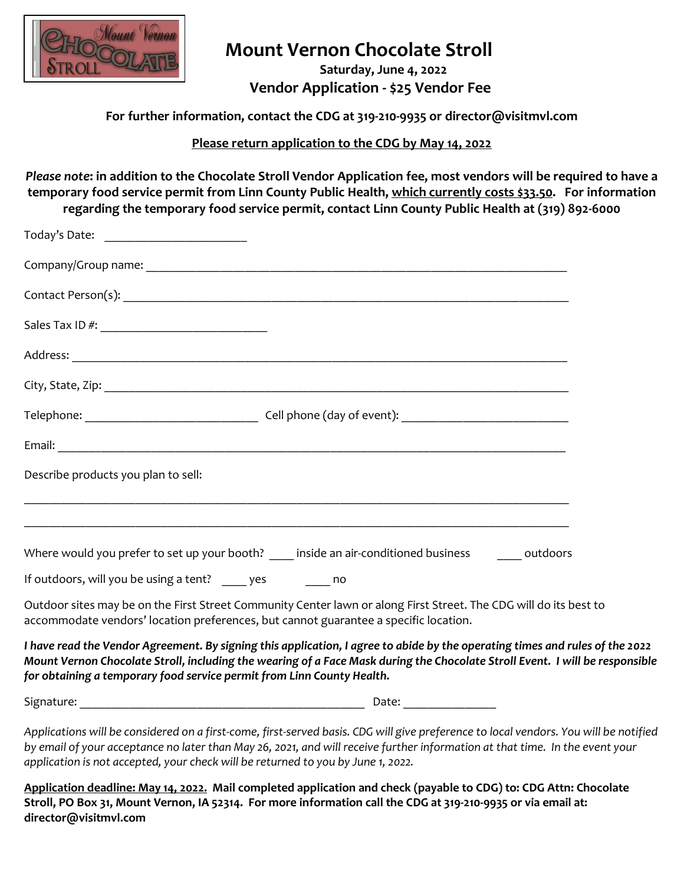

# **Mount Vernon Chocolate Stroll**

 **Saturday, June 4, 2022 Vendor Application - \$25 Vendor Fee** 

**For further information, contact the CDG at 319-210-9935 or director@visitmvl.com** 

**Please return application to the CDG by May 14, 2022**

*Please note***: in addition to the Chocolate Stroll Vendor Application fee, most vendors will be required to have a temporary food service permit from Linn County Public Health, which currently costs \$33.50. For information regarding the temporary food service permit, contact Linn County Public Health at (319) 892-6000** 

| Today's Date: ____________________________                                           |                                                                                                                                                                                                                                                              |  |
|--------------------------------------------------------------------------------------|--------------------------------------------------------------------------------------------------------------------------------------------------------------------------------------------------------------------------------------------------------------|--|
|                                                                                      |                                                                                                                                                                                                                                                              |  |
|                                                                                      |                                                                                                                                                                                                                                                              |  |
|                                                                                      |                                                                                                                                                                                                                                                              |  |
|                                                                                      |                                                                                                                                                                                                                                                              |  |
|                                                                                      |                                                                                                                                                                                                                                                              |  |
|                                                                                      |                                                                                                                                                                                                                                                              |  |
|                                                                                      |                                                                                                                                                                                                                                                              |  |
| Describe products you plan to sell:                                                  |                                                                                                                                                                                                                                                              |  |
|                                                                                      |                                                                                                                                                                                                                                                              |  |
|                                                                                      | Where would you prefer to set up your booth? _____ inside an air-conditioned business ________ outdoors                                                                                                                                                      |  |
| If outdoors, will you be using a tent? _____ yes _______ no                          |                                                                                                                                                                                                                                                              |  |
| accommodate vendors' location preferences, but cannot guarantee a specific location. | Outdoor sites may be on the First Street Community Center lawn or along First Street. The CDG will do its best to                                                                                                                                            |  |
| for obtaining a temporary food service permit from Linn County Health.               | I have read the Vendor Agreement. By signing this application, I agree to abide by the operating times and rules of the 2022<br>Mount Vernon Chocolate Stroll, including the wearing of a Face Mask during the Chocolate Stroll Event. I will be responsible |  |
|                                                                                      |                                                                                                                                                                                                                                                              |  |
|                                                                                      | Applications will be considered on a first come first comed basis. CDC will stay mediam control and word and New yorld began titled                                                                                                                          |  |

*Applications will be considered on a first-come, first-served basis. CDG will give preference to local vendors. You will be notified by email of your acceptance no later than May 26, 2021, and will receive further information at that time. In the event your application is not accepted, your check will be returned to you by June 1, 2022.* 

**Application deadline: May 14, 2022. Mail completed application and check (payable to CDG) to: CDG Attn: Chocolate Stroll, PO Box 31, Mount Vernon, IA 52314. For more information call the CDG at 319-210-9935 or via email at: director@visitmvl.com**